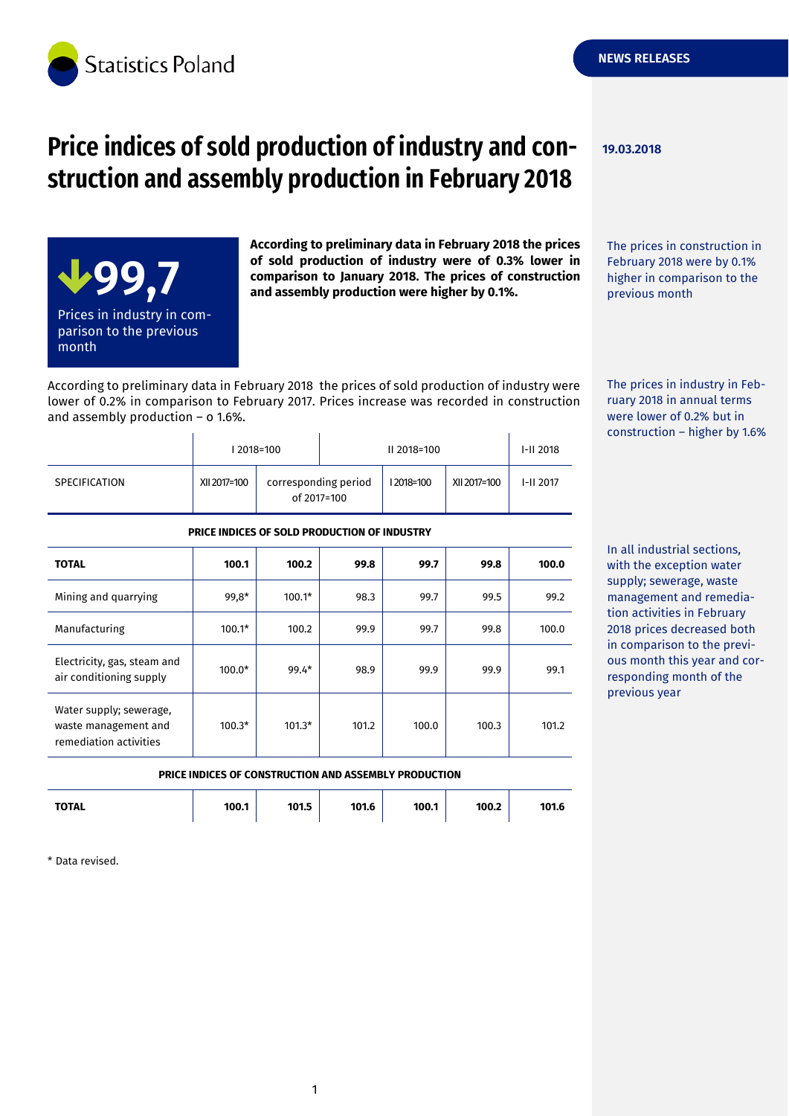

# **Price indices of sold production of industry and con- 19.03.2018 struction and assembly production in February 2018**



**According to preliminary data in February 2018 the prices of sold production of industry were of 0.3% lower in comparison to January 2018. The prices of construction and assembly production were higher by 0.1%.**

The prices in construction in February 2018 were by 0.1% higher in comparison to the previous month

According to preliminary data in February 2018 the prices of sold production of industry were lower of 0.2% in comparison to February 2017. Prices increase was recorded in construction and assembly production – o 1.6%.

|                      |              | 2018=100                            |  | II 2018=100 |              | $I-II 2018$ |
|----------------------|--------------|-------------------------------------|--|-------------|--------------|-------------|
| <b>SPECIFICATION</b> | XII 2017=100 | corresponding period<br>of 2017=100 |  | 12018=100   | XII 2017=100 | $I-II 2017$ |

The prices in industry in February 2018 in annual terms were lower of 0.2% but in construction – higher by 1.6%

In all industrial sections, with the exception water supply; sewerage, waste management and remediation activities in February 2018 prices decreased both in comparison to the previous month this year and corresponding month of the previous year

#### **PRICE INDICES OF SOLD PRODUCTION OF INDUSTRY**

| <b>TOTAL</b>                                                              | 100.1    | 100.2    | 99.8  | 99.7  | 99.8  | 100.0 |
|---------------------------------------------------------------------------|----------|----------|-------|-------|-------|-------|
| Mining and quarrying                                                      | 99,8*    | $100.1*$ | 98.3  | 99.7  | 99.5  | 99.2  |
| Manufacturing                                                             | $100.1*$ | 100.2    | 99.9  | 99.7  | 99.8  | 100.0 |
| Electricity, gas, steam and<br>air conditioning supply                    | $100.0*$ | $99.4*$  | 98.9  | 99.9  | 99.9  | 99.1  |
| Water supply; sewerage,<br>waste management and<br>remediation activities | $100.3*$ | $101.3*$ | 101.2 | 100.0 | 100.3 | 101.2 |

#### **PRICE INDICES OF CONSTRUCTION AND ASSEMBLY PRODUCTION**

| 101.5<br><b>TOTAL</b><br>100.1<br>101.6<br>100.1 | 100.2 | 101.6 |
|--------------------------------------------------|-------|-------|
|--------------------------------------------------|-------|-------|

\* Data revised.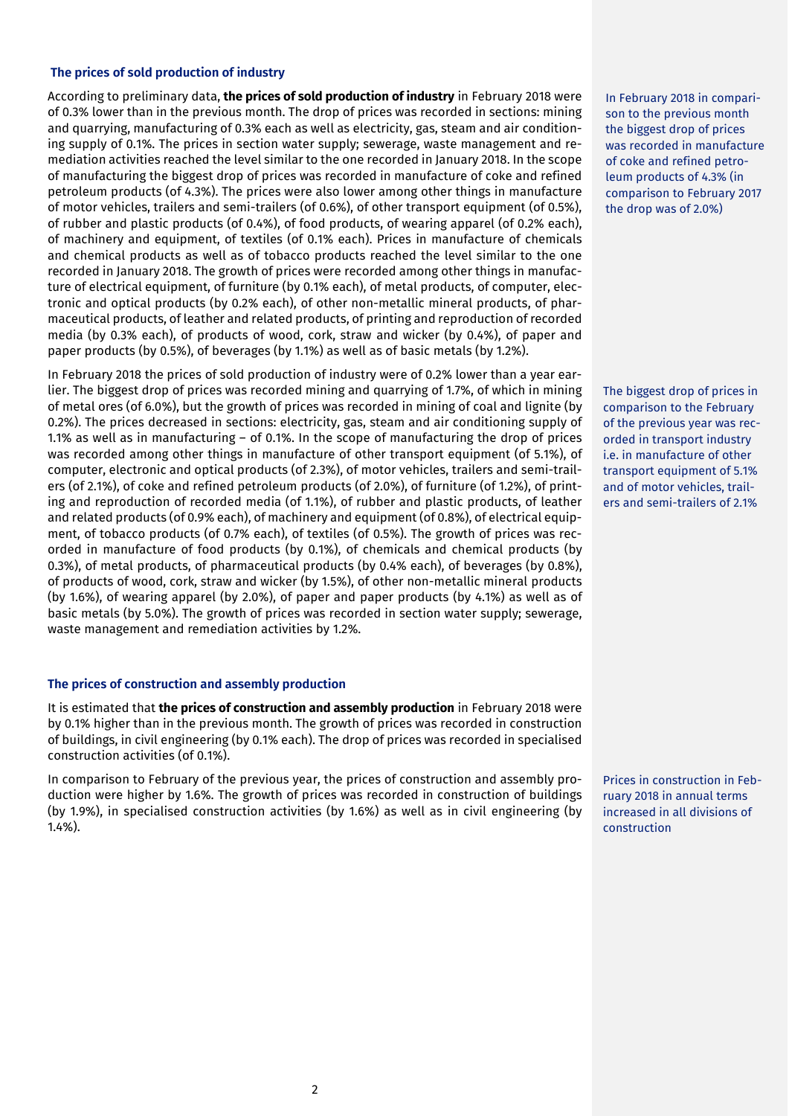#### **The prices of sold production of industry**

According to preliminary data, **the prices of sold production of industry** in February 2018 were of 0.3% lower than in the previous month. The drop of prices was recorded in sections: mining and quarrying, manufacturing of 0.3% each as well as electricity, gas, steam and air conditioning supply of 0.1%. The prices in section water supply; sewerage, waste management and remediation activities reached the level similar to the one recorded in January 2018. In the scope of manufacturing the biggest drop of prices was recorded in manufacture of coke and refined petroleum products (of 4.3%). The prices were also lower among other things in manufacture of motor vehicles, trailers and semi-trailers (of 0.6%), of other transport equipment (of 0.5%), of rubber and plastic products (of 0.4%), of food products, of wearing apparel (of 0.2% each), of machinery and equipment, of textiles (of 0.1% each). Prices in manufacture of chemicals and chemical products as well as of tobacco products reached the level similar to the one recorded in January 2018. The growth of prices were recorded among other things in manufacture of electrical equipment, of furniture (by 0.1% each), of metal products, of computer, electronic and optical products (by 0.2% each), of other non-metallic mineral products, of pharmaceutical products, of leather and related products, of printing and reproduction of recorded media (by 0.3% each), of products of wood, cork, straw and wicker (by 0.4%), of paper and paper products (by 0.5%), of beverages (by 1.1%) as well as of basic metals (by 1.2%).

In February 2018 the prices of sold production of industry were of 0.2% lower than a year earlier. The biggest drop of prices was recorded mining and quarrying of 1.7%, of which in mining of metal ores (of 6.0%), but the growth of prices was recorded in mining of coal and lignite (by 0.2%). The prices decreased in sections: electricity, gas, steam and air conditioning supply of 1.1% as well as in manufacturing – of 0.1%. In the scope of manufacturing the drop of prices was recorded among other things in manufacture of other transport equipment (of 5.1%), of computer, electronic and optical products (of 2.3%), of motor vehicles, trailers and semi-trailers (of 2.1%), of coke and refined petroleum products (of 2.0%), of furniture (of 1.2%), of printing and reproduction of recorded media (of 1.1%), of rubber and plastic products, of leather and related products (of 0.9% each), of machinery and equipment (of 0.8%), of electrical equipment, of tobacco products (of 0.7% each), of textiles (of 0.5%). The growth of prices was recorded in manufacture of food products (by 0.1%), of chemicals and chemical products (by 0.3%), of metal products, of pharmaceutical products (by 0.4% each), of beverages (by 0.8%), of products of wood, cork, straw and wicker (by 1.5%), of other non-metallic mineral products (by 1.6%), of wearing apparel (by 2.0%), of paper and paper products (by 4.1%) as well as of basic metals (by 5.0%). The growth of prices was recorded in section water supply; sewerage, waste management and remediation activities by 1.2%.

#### **The prices of construction and assembly production**

It is estimated that **the prices of construction and assembly production** in February 2018 were by 0.1% higher than in the previous month. The growth of prices was recorded in construction of buildings, in civil engineering (by 0.1% each). The drop of prices was recorded in specialised construction activities (of 0.1%).

In comparison to February of the previous year, the prices of construction and assembly production were higher by 1.6%. The growth of prices was recorded in construction of buildings (by 1.9%), in specialised construction activities (by 1.6%) as well as in civil engineering (by 1.4%).

In February 2018 in comparison to the previous month the biggest drop of prices was recorded in manufacture of coke and refined petroleum products of 4.3% (in comparison to February 2017 the drop was of 2.0%)

The biggest drop of prices in comparison to the February of the previous year was recorded in transport industry i.e. in manufacture of other transport equipment of 5.1% and of motor vehicles, trailers and semi-trailers of 2.1%

Prices in construction in February 2018 in annual terms increased in all divisions of construction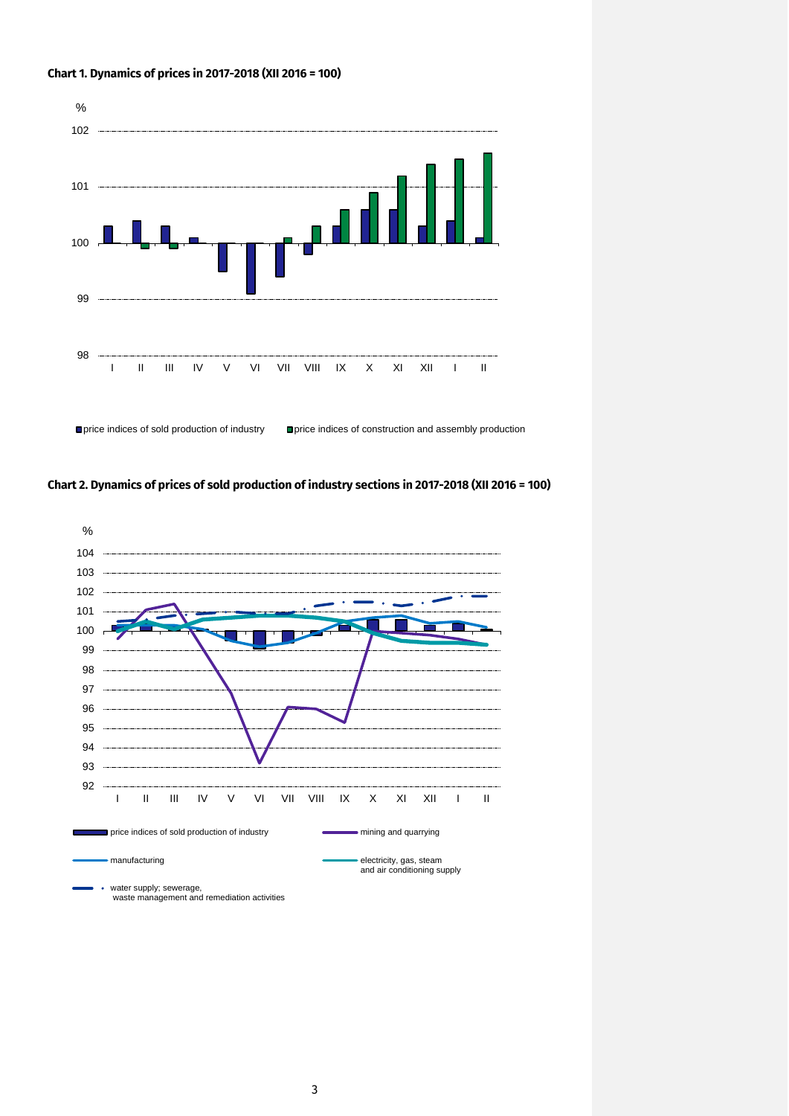#### **Chart 1. Dynamics of prices in 2017-2018 (XII 2016 = 100)**



■ price indices of sold production of industry ■ price indices of construction and assembly production





water supply; sewerage, waste management and remediation activities